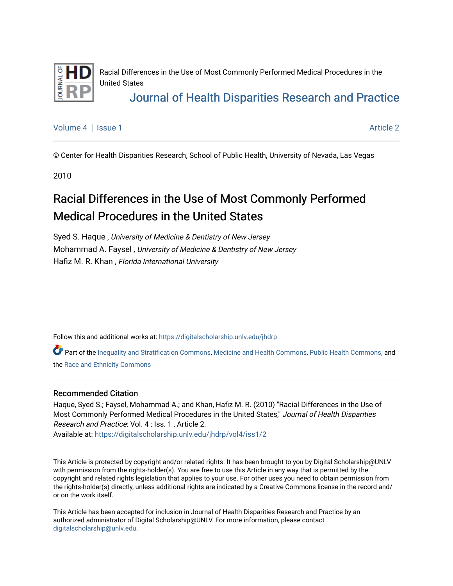

Racial Differences in the Use of Most Commonly Performed Medical Procedures in the United States

## [Journal of Health Disparities Research and Practice](https://digitalscholarship.unlv.edu/jhdrp)

[Volume 4](https://digitalscholarship.unlv.edu/jhdrp/vol4) | [Issue 1](https://digitalscholarship.unlv.edu/jhdrp/vol4/iss1) [Article 2](https://digitalscholarship.unlv.edu/jhdrp/vol4/iss1/2) | Article 2 | Article 2 | Article 2 | Article 2 | Article 2 | Article 2 | Article 2

© Center for Health Disparities Research, School of Public Health, University of Nevada, Las Vegas

2010

# Racial Differences in the Use of Most Commonly Performed Medical Procedures in the United States

Syed S. Haque , University of Medicine & Dentistry of New Jersey Mohammad A. Faysel , University of Medicine & Dentistry of New Jersey Hafiz M. R. Khan , Florida International University

Follow this and additional works at: [https://digitalscholarship.unlv.edu/jhdrp](https://digitalscholarship.unlv.edu/jhdrp?utm_source=digitalscholarship.unlv.edu%2Fjhdrp%2Fvol4%2Fiss1%2F2&utm_medium=PDF&utm_campaign=PDFCoverPages) 

Part of the [Inequality and Stratification Commons,](http://network.bepress.com/hgg/discipline/421?utm_source=digitalscholarship.unlv.edu%2Fjhdrp%2Fvol4%2Fiss1%2F2&utm_medium=PDF&utm_campaign=PDFCoverPages) [Medicine and Health Commons,](http://network.bepress.com/hgg/discipline/422?utm_source=digitalscholarship.unlv.edu%2Fjhdrp%2Fvol4%2Fiss1%2F2&utm_medium=PDF&utm_campaign=PDFCoverPages) [Public Health Commons,](http://network.bepress.com/hgg/discipline/738?utm_source=digitalscholarship.unlv.edu%2Fjhdrp%2Fvol4%2Fiss1%2F2&utm_medium=PDF&utm_campaign=PDFCoverPages) and the [Race and Ethnicity Commons](http://network.bepress.com/hgg/discipline/426?utm_source=digitalscholarship.unlv.edu%2Fjhdrp%2Fvol4%2Fiss1%2F2&utm_medium=PDF&utm_campaign=PDFCoverPages)

#### Recommended Citation

Haque, Syed S.; Faysel, Mohammad A.; and Khan, Hafiz M. R. (2010) "Racial Differences in the Use of Most Commonly Performed Medical Procedures in the United States," Journal of Health Disparities Research and Practice: Vol. 4 : Iss. 1 , Article 2. Available at: [https://digitalscholarship.unlv.edu/jhdrp/vol4/iss1/2](https://digitalscholarship.unlv.edu/jhdrp/vol4/iss1/2?utm_source=digitalscholarship.unlv.edu%2Fjhdrp%2Fvol4%2Fiss1%2F2&utm_medium=PDF&utm_campaign=PDFCoverPages)

This Article is protected by copyright and/or related rights. It has been brought to you by Digital Scholarship@UNLV with permission from the rights-holder(s). You are free to use this Article in any way that is permitted by the copyright and related rights legislation that applies to your use. For other uses you need to obtain permission from the rights-holder(s) directly, unless additional rights are indicated by a Creative Commons license in the record and/ or on the work itself.

This Article has been accepted for inclusion in Journal of Health Disparities Research and Practice by an authorized administrator of Digital Scholarship@UNLV. For more information, please contact [digitalscholarship@unlv.edu](mailto:digitalscholarship@unlv.edu).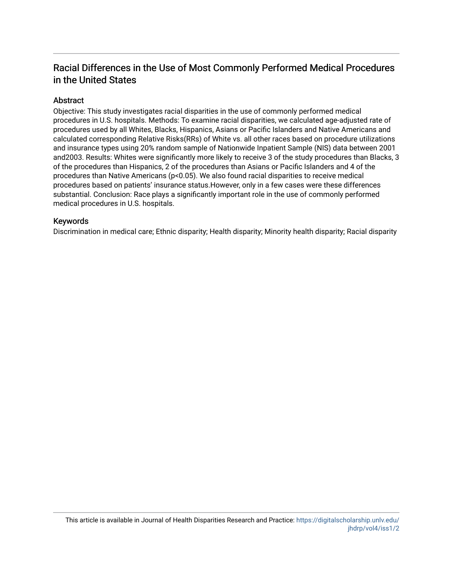## Racial Differences in the Use of Most Commonly Performed Medical Procedures in the United States

### **Abstract**

Objective: This study investigates racial disparities in the use of commonly performed medical procedures in U.S. hospitals. Methods: To examine racial disparities, we calculated age-adjusted rate of procedures used by all Whites, Blacks, Hispanics, Asians or Pacific Islanders and Native Americans and calculated corresponding Relative Risks(RRs) of White vs. all other races based on procedure utilizations and insurance types using 20% random sample of Nationwide Inpatient Sample (NIS) data between 2001 and2003. Results: Whites were significantly more likely to receive 3 of the study procedures than Blacks, 3 of the procedures than Hispanics, 2 of the procedures than Asians or Pacific Islanders and 4 of the procedures than Native Americans (p<0.05). We also found racial disparities to receive medical procedures based on patients' insurance status.However, only in a few cases were these differences substantial. Conclusion: Race plays a significantly important role in the use of commonly performed medical procedures in U.S. hospitals.

### Keywords

Discrimination in medical care; Ethnic disparity; Health disparity; Minority health disparity; Racial disparity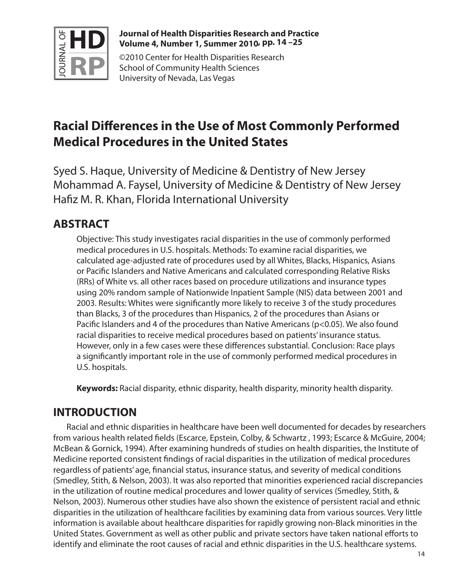

### **Journal of Health Disparities Research and Practice Volume 4, Number 1, Summer 2010 , pp. 14 –25**

©2010 Center for Health Disparities Research School of Community Health Sciences University of Nevada, Las Vegas

# **Racial Differences in the Use of Most Commonly Performed Medical Procedures in the United States**

Syed S. Haque, University of Medicine & Dentistry of New Jersey Mohammad A. Faysel, University of Medicine & Dentistry of New Jersey Hafiz M. R. Khan, Florida International University

# **ABSTRACT**

Objective: This study investigates racial disparities in the use of commonly performed medical procedures in U.S. hospitals. Methods: To examine racial disparities, we calculated age-adjusted rate of procedures used by all Whites, Blacks, Hispanics, Asians or Pacific Islanders and Native Americans and calculated corresponding Relative Risks (RRs) of White vs. all other races based on procedure utilizations and insurance types using 20% random sample of Nationwide Inpatient Sample (NIS) data between 2001 and 2003. Results: Whites were significantly more likely to receive 3 of the study procedures than Blacks, 3 of the procedures than Hispanics, 2 of the procedures than Asians or Pacific Islanders and 4 of the procedures than Native Americans (p<0.05). We also found racial disparities to receive medical procedures based on patients' insurance status. However, only in a few cases were these differences substantial. Conclusion: Race plays a significantly important role in the use of commonly performed medical procedures in U.S. hospitals.

**Keywords:** Racial disparity, ethnic disparity, health disparity, minority health disparity.

# **INTRODUCTION**

Racial and ethnic disparities in healthcare have been well documented for decades by researchers from various health related fields (Escarce, Epstein, Colby, & Schwartz , 1993; Escarce & McGuire, 2004; McBean & Gornick, 1994). After examining hundreds of studies on health disparities, the Institute of Medicine reported consistent findings of racial disparities in the utilization of medical procedures regardless of patients' age, financial status, insurance status, and severity of medical conditions (Smedley, Stith, & Nelson, 2003). It was also reported that minorities experienced racial discrepancies in the utilization of routine medical procedures and lower quality of services (Smedley, Stith, & Nelson, 2003). Numerous other studies have also shown the existence of persistent racial and ethnic disparities in the utilization of healthcare facilities by examining data from various sources. Very little information is available about healthcare disparities for rapidly growing non-Black minorities in the United States. Government as well as other public and private sectors have taken national efforts to identify and eliminate the root causes of racial and ethnic disparities in the U.S. healthcare systems.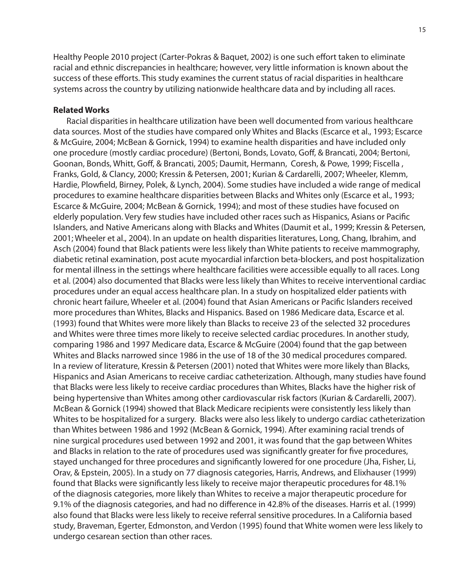Healthy People 2010 project (Carter-Pokras & Baquet, 2002) is one such effort taken to eliminate racial and ethnic discrepancies in healthcare; however, very little information is known about the success of these efforts. This study examines the current status of racial disparities in healthcare systems across the country by utilizing nationwide healthcare data and by including all races.

### **Related Works**

Racial disparities in healthcare utilization have been well documented from various healthcare data sources. Most of the studies have compared only Whites and Blacks (Escarce et al., 1993; Escarce & McGuire, 2004; McBean & Gornick, 1994) to examine health disparities and have included only one procedure (mostly cardiac procedure) (Bertoni, Bonds, Lovato, Goff, & Brancati, 2004; Bertoni, Goonan, Bonds, Whitt, Goff, & Brancati, 2005; Daumit, Hermann, Coresh, & Powe, 1999; Fiscella , Franks, Gold, & Clancy, 2000; Kressin & Petersen, 2001; Kurian & Cardarelli, 2007; Wheeler, Klemm, Hardie, Plowfield, Birney, Polek, & Lynch, 2004). Some studies have included a wide range of medical procedures to examine healthcare disparities between Blacks and Whites only (Escarce et al., 1993; Escarce & McGuire, 2004; McBean & Gornick, 1994); and most of these studies have focused on elderly population. Very few studies have included other races such as Hispanics, Asians or Pacific Islanders, and Native Americans along with Blacks and Whites (Daumit et al., 1999; Kressin & Petersen, 2001; Wheeler et al., 2004). In an update on health disparities literatures, Long, Chang, Ibrahim, and Asch (2004) found that Black patients were less likely than White patients to receive mammography, diabetic retinal examination, post acute myocardial infarction beta-blockers, and post hospitalization for mental illness in the settings where healthcare facilities were accessible equally to all races. Long et al. (2004) also documented that Blacks were less likely than Whites to receive interventional cardiac procedures under an equal access healthcare plan. In a study on hospitalized elder patients with chronic heart failure, Wheeler et al. (2004) found that Asian Americans or Pacific Islanders received more procedures than Whites, Blacks and Hispanics. Based on 1986 Medicare data, Escarce et al. (1993) found that Whites were more likely than Blacks to receive 23 of the selected 32 procedures and Whites were three times more likely to receive selected cardiac procedures. In another study, comparing 1986 and 1997 Medicare data, Escarce & McGuire (2004) found that the gap between Whites and Blacks narrowed since 1986 in the use of 18 of the 30 medical procedures compared. In a review of literature, Kressin & Petersen (2001) noted that Whites were more likely than Blacks, Hispanics and Asian Americans to receive cardiac catheterization. Although, many studies have found that Blacks were less likely to receive cardiac procedures than Whites, Blacks have the higher risk of being hypertensive than Whites among other cardiovascular risk factors (Kurian & Cardarelli, 2007). McBean & Gornick (1994) showed that Black Medicare recipients were consistently less likely than Whites to be hospitalized for a surgery. Blacks were also less likely to undergo cardiac catheterization than Whites between 1986 and 1992 (McBean & Gornick, 1994). After examining racial trends of nine surgical procedures used between 1992 and 2001, it was found that the gap between Whites and Blacks in relation to the rate of procedures used was significantly greater for five procedures, stayed unchanged for three procedures and significantly lowered for one procedure (Jha, Fisher, Li, Orav, & Epstein, 2005). In a study on 77 diagnosis categories, Harris, Andrews, and Elixhauser (1999) found that Blacks were significantly less likely to receive major therapeutic procedures for 48.1% of the diagnosis categories, more likely than Whites to receive a major therapeutic procedure for 9.1% of the diagnosis categories, and had no difference in 42.8% of the diseases. Harris et al. (1999) also found that Blacks were less likely to receive referral sensitive procedures. In a California based study, Braveman, Egerter, Edmonston, and Verdon (1995) found that White women were less likely to undergo cesarean section than other races.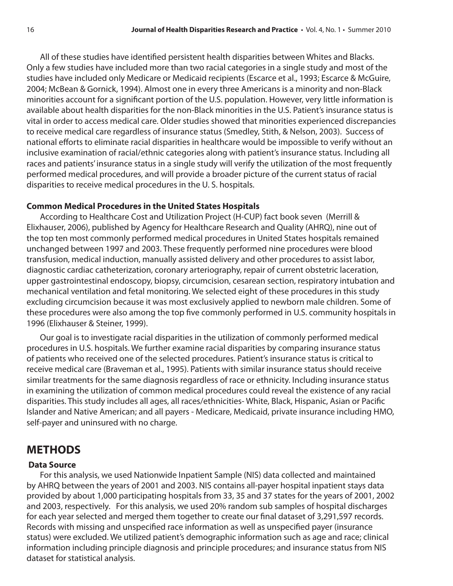All of these studies have identified persistent health disparities between Whites and Blacks. Only a few studies have included more than two racial categories in a single study and most of the studies have included only Medicare or Medicaid recipients (Escarce et al., 1993; Escarce & McGuire, 2004; McBean & Gornick, 1994). Almost one in every three Americans is a minority and non-Black minorities account for a significant portion of the U.S. population. However, very little information is available about health disparities for the non-Black minorities in the U.S. Patient's insurance status is vital in order to access medical care. Older studies showed that minorities experienced discrepancies to receive medical care regardless of insurance status (Smedley, Stith, & Nelson, 2003). Success of national efforts to eliminate racial disparities in healthcare would be impossible to verify without an inclusive examination of racial/ethnic categories along with patient's insurance status. Including all races and patients' insurance status in a single study will verify the utilization of the most frequently performed medical procedures, and will provide a broader picture of the current status of racial disparities to receive medical procedures in the U. S. hospitals.

### **Common Medical Procedures in the United States Hospitals**

According to Healthcare Cost and Utilization Project (H-CUP) fact book seven (Merrill & Elixhauser, 2006), published by Agency for Healthcare Research and Quality (AHRQ), nine out of the top ten most commonly performed medical procedures in United States hospitals remained unchanged between 1997 and 2003. These frequently performed nine procedures were blood transfusion, medical induction, manually assisted delivery and other procedures to assist labor, diagnostic cardiac catheterization, coronary arteriography, repair of current obstetric laceration, upper gastrointestinal endoscopy, biopsy, circumcision, cesarean section, respiratory intubation and mechanical ventilation and fetal monitoring. We selected eight of these procedures in this study excluding circumcision because it was most exclusively applied to newborn male children. Some of these procedures were also among the top five commonly performed in U.S. community hospitals in 1996 (Elixhauser & Steiner, 1999).

Our goal is to investigate racial disparities in the utilization of commonly performed medical procedures in U.S. hospitals. We further examine racial disparities by comparing insurance status of patients who received one of the selected procedures. Patient's insurance status is critical to receive medical care (Braveman et al., 1995). Patients with similar insurance status should receive similar treatments for the same diagnosis regardless of race or ethnicity. Including insurance status in examining the utilization of common medical procedures could reveal the existence of any racial disparities. This study includes all ages, all races/ethnicities- White, Black, Hispanic, Asian or Pacific Islander and Native American; and all payers - Medicare, Medicaid, private insurance including HMO, self-payer and uninsured with no charge.

## **METHODS**

### **Data Source**

For this analysis, we used Nationwide Inpatient Sample (NIS) data collected and maintained by AHRQ between the years of 2001 and 2003. NIS contains all-payer hospital inpatient stays data provided by about 1,000 participating hospitals from 33, 35 and 37 states for the years of 2001, 2002 and 2003, respectively. For this analysis, we used 20% random sub samples of hospital discharges for each year selected and merged them together to create our final dataset of 3,291,597 records. Records with missing and unspecified race information as well as unspecified payer (insurance status) were excluded. We utilized patient's demographic information such as age and race; clinical information including principle diagnosis and principle procedures; and insurance status from NIS dataset for statistical analysis.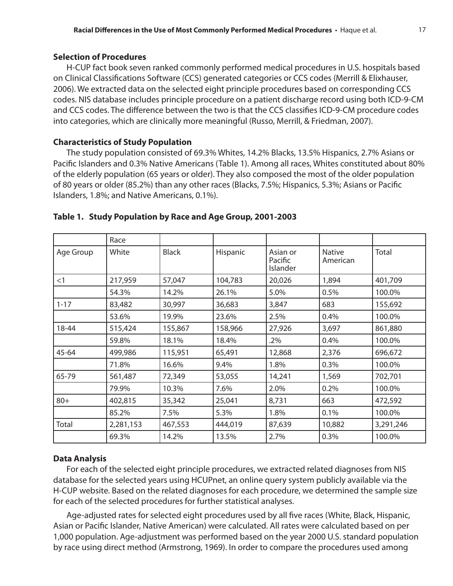### **Selection of Procedures**

H-CUP fact book seven ranked commonly performed medical procedures in U.S. hospitals based on Clinical Classifications Software (CCS) generated categories or CCS codes (Merrill & Elixhauser, 2006). We extracted data on the selected eight principle procedures based on corresponding CCS codes. NIS database includes principle procedure on a patient discharge record using both ICD-9-CM and CCS codes. The difference between the two is that the CCS classifies ICD-9-CM procedure codes into categories, which are clinically more meaningful (Russo, Merrill, & Friedman, 2007).

## **Characteristics of Study Population**

The study population consisted of 69.3% Whites, 14.2% Blacks, 13.5% Hispanics, 2.7% Asians or Pacific Islanders and 0.3% Native Americans (Table 1). Among all races, Whites constituted about 80% of the elderly population (65 years or older). They also composed the most of the older population of 80 years or older (85.2%) than any other races (Blacks, 7.5%; Hispanics, 5.3%; Asians or Pacific Islanders, 1.8%; and Native Americans, 0.1%).

|           | Race      |              |          |                                 |                           |           |
|-----------|-----------|--------------|----------|---------------------------------|---------------------------|-----------|
| Age Group | White     | <b>Black</b> | Hispanic | Asian or<br>Pacific<br>Islander | <b>Native</b><br>American | Total     |
| <1        | 217,959   | 57,047       | 104,783  | 20,026                          | 1,894                     | 401,709   |
|           | 54.3%     | 14.2%        | 26.1%    | 5.0%                            | 0.5%                      | 100.0%    |
| $1 - 17$  | 83,482    | 30,997       | 36,683   | 3,847                           | 683                       | 155,692   |
|           | 53.6%     | 19.9%        | 23.6%    | 2.5%                            | 0.4%                      | 100.0%    |
| 18-44     | 515,424   | 155,867      | 158,966  | 27,926                          | 3,697                     | 861,880   |
|           | 59.8%     | 18.1%        | 18.4%    | .2%                             | 0.4%                      | 100.0%    |
| 45-64     | 499,986   | 115,951      | 65,491   | 12,868                          | 2,376                     | 696,672   |
|           | 71.8%     | 16.6%        | 9.4%     | 1.8%                            | 0.3%                      | 100.0%    |
| 65-79     | 561,487   | 72,349       | 53,055   | 14,241                          | 1,569                     | 702,701   |
|           | 79.9%     | 10.3%        | 7.6%     | 2.0%                            | 0.2%                      | 100.0%    |
| $80+$     | 402,815   | 35,342       | 25,041   | 8,731                           | 663                       | 472,592   |
|           | 85.2%     | 7.5%         | 5.3%     | 1.8%                            | 0.1%                      | 100.0%    |
| Total     | 2,281,153 | 467,553      | 444,019  | 87,639                          | 10,882                    | 3,291,246 |
|           | 69.3%     | 14.2%        | 13.5%    | 2.7%                            | 0.3%                      | 100.0%    |

### **Table 1. Study Population by Race and Age Group, 2001-2003**

## **Data Analysis**

For each of the selected eight principle procedures, we extracted related diagnoses from NIS database for the selected years using HCUPnet, an online query system publicly available via the H-CUP website. Based on the related diagnoses for each procedure, we determined the sample size for each of the selected procedures for further statistical analyses.

Age-adjusted rates for selected eight procedures used by all five races (White, Black, Hispanic, Asian or Pacific Islander, Native American) were calculated. All rates were calculated based on per 1,000 population. Age-adjustment was performed based on the year 2000 U.S. standard population by race using direct method (Armstrong, 1969). In order to compare the procedures used among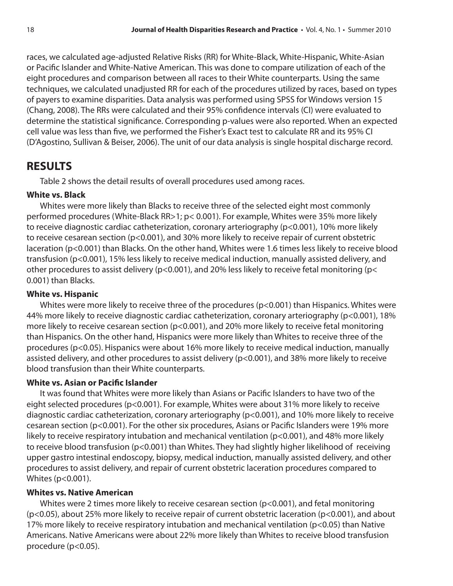races, we calculated age-adjusted Relative Risks (RR) for White-Black, White-Hispanic, White-Asian or Pacific Islander and White-Native American. This was done to compare utilization of each of the eight procedures and comparison between all races to their White counterparts. Using the same techniques, we calculated unadjusted RR for each of the procedures utilized by races, based on types of payers to examine disparities. Data analysis was performed using SPSS for Windows version 15 (Chang, 2008). The RRs were calculated and their 95% confidence intervals (CI) were evaluated to determine the statistical significance. Corresponding p-values were also reported. When an expected cell value was less than five, we performed the Fisher's Exact test to calculate RR and its 95% CI (D'Agostino, Sullivan & Beiser, 2006). The unit of our data analysis is single hospital discharge record.

## **RESULTS**

Table 2 shows the detail results of overall procedures used among races.

## **White vs. Black**

Whites were more likely than Blacks to receive three of the selected eight most commonly performed procedures (White-Black RR>1; p< 0.001). For example, Whites were 35% more likely to receive diagnostic cardiac catheterization, coronary arteriography (p<0.001), 10% more likely to receive cesarean section (p<0.001), and 30% more likely to receive repair of current obstetric laceration (p<0.001) than Blacks. On the other hand, Whites were 1.6 times less likely to receive blood transfusion (p<0.001), 15% less likely to receive medical induction, manually assisted delivery, and other procedures to assist delivery ( $p$ <0.001), and 20% less likely to receive fetal monitoring ( $p$ < 0.001) than Blacks.

### **White vs. Hispanic**

Whites were more likely to receive three of the procedures (p<0.001) than Hispanics. Whites were 44% more likely to receive diagnostic cardiac catheterization, coronary arteriography (p<0.001), 18% more likely to receive cesarean section (p<0.001), and 20% more likely to receive fetal monitoring than Hispanics. On the other hand, Hispanics were more likely than Whites to receive three of the procedures (p<0.05). Hispanics were about 16% more likely to receive medical induction, manually assisted delivery, and other procedures to assist delivery (p<0.001), and 38% more likely to receive blood transfusion than their White counterparts.

## **White vs. Asian or Pacific Islander**

It was found that Whites were more likely than Asians or Pacific Islanders to have two of the eight selected procedures (p<0.001). For example, Whites were about 31% more likely to receive diagnostic cardiac catheterization, coronary arteriography (p<0.001), and 10% more likely to receive cesarean section (p<0.001). For the other six procedures, Asians or Pacific Islanders were 19% more likely to receive respiratory intubation and mechanical ventilation (p<0.001), and 48% more likely to receive blood transfusion (p<0.001) than Whites. They had slightly higher likelihood of receiving upper gastro intestinal endoscopy, biopsy, medical induction, manually assisted delivery, and other procedures to assist delivery, and repair of current obstetric laceration procedures compared to Whites (p<0.001).

## **Whites vs. Native American**

Whites were 2 times more likely to receive cesarean section (p<0.001), and fetal monitoring (p<0.05), about 25% more likely to receive repair of current obstetric laceration (p<0.001), and about 17% more likely to receive respiratory intubation and mechanical ventilation (p<0.05) than Native Americans. Native Americans were about 22% more likely than Whites to receive blood transfusion procedure (p<0.05).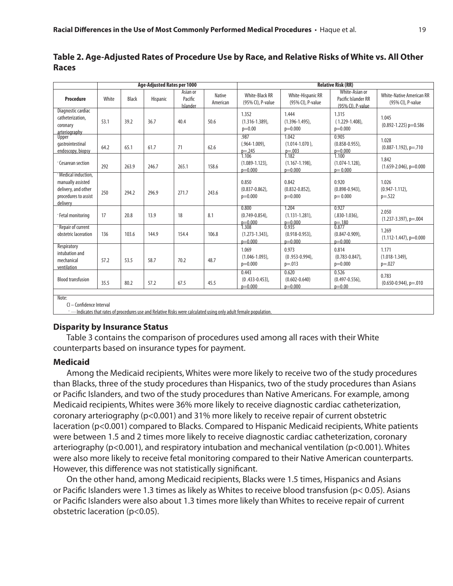|                                                                                                      | <b>Age-Adjusted Rates per 1000</b> |              |          |                                 |                           | <b>Relative Risk (RR)</b>                              |                                                        |                                                            |                                                      |
|------------------------------------------------------------------------------------------------------|------------------------------------|--------------|----------|---------------------------------|---------------------------|--------------------------------------------------------|--------------------------------------------------------|------------------------------------------------------------|------------------------------------------------------|
| Procedure                                                                                            | White                              | <b>Black</b> | Hispanic | Asian or<br>Pacific<br>Islander | <b>Native</b><br>American | <b>White-Black RR</b><br>(95% CI), P-value             | White-Hispanic RR<br>(95% CI), P-value                 | White-Asian or<br>Pacific Islander RR<br>(95% CI), P-value | <b>White-Native American RR</b><br>(95% CI), P-value |
| Diagnostic cardiac<br>catheterization,<br>coronary<br>arteriography                                  | 53.1                               | 39.2         | 36.7     | 40.4                            | 50.6                      | 1.352<br>$(1.316 - 1.389)$ ,<br>$p=0.00$               | 1.444<br>$(1.396 - 1.495)$ ,<br>$p=0.000$              | 1.315<br>$(1.229 - 1.408)$ ,<br>$p=0.000$                  | 1.045<br>$(0.892 - 1.225)$ p=0.586                   |
| Upper<br>qastrointestinal<br>endoscopy, biopsy                                                       | 64.2                               | 65.1         | 61.7     | 71                              | 62.6                      | .987<br>$(.964-1.009)$ ,<br>$p = 245$<br>1.106         | 1.042<br>$(1.014 - 1.070)$ ,<br>$p = 0.003$<br>1.182   | 0.905<br>$(0.858 - 0.955)$ ,<br>$p=0.000$<br>1.100         | 1.028<br>$(0.887 - 1.192)$ , p=.710                  |
| Cesarean section                                                                                     | 292                                | 263.9        | 246.7    | 265.1                           | 158.6                     | $(1.089 - 1.123)$ ,<br>$p=0.000$                       | $(1.167 - 1.198)$ ,<br>$p=0.000$                       | $(1.074 - 1.128)$ .<br>$p = 0.000$                         | 1.842<br>$(1.659 - 2.046)$ , p=0.000                 |
| · Medical induction.<br>manually assisted<br>delivery, and other<br>procedures to assist<br>delivery | 250                                | 294.2        | 296.9    | 271.7                           | 243.6                     | 0.850<br>$(0.837 - 0.862)$ ,<br>$p=0.000$              | 0.842<br>$(0.832 - 0.852)$ ,<br>$p=0.000$              | 0.920<br>$(0.898 - 0.943)$ ,<br>$p = 0.000$                | 1.026<br>$(0.947 - 1.112)$ .<br>$p = .522$           |
| · Fetal monitoring                                                                                   | 17                                 | 20.8         | 13.9     | 18                              | 8.1                       | 0.800<br>$(0.749 - 0.854)$ ,                           | 1.204<br>$(1.131 - 1.281)$ ,                           | 0.927<br>$(.830-1.036)$ ,<br>$p=180$<br>0.877              | 2.050<br>$(1.237 - 3.397)$ , p=.004                  |
| · Repair of current<br>obstetric laceration                                                          | 136                                | 103.6        | 144.9    | 154.4                           | 106.8                     | $p=0.000$<br>1.308<br>$(1.273 - 1.343)$ .<br>$p=0.000$ | $p=0.000$<br>0.935<br>$(0.918 - 0.953)$ .<br>$p=0.000$ | $(0.847 - 0.909)$ ,<br>$p=0.000$                           | 1.269<br>$(1.112 - 1.447), p=0.000$                  |
| Respiratory<br>intubation and<br>mechanical<br>ventilation                                           | 57.2                               | 53.5         | 58.7     | 70.2                            | 48.7                      | 1.069<br>$(1.046 - 1.093)$ ,<br>$p=0.000$              | 0.973<br>$(0.953 - 0.994)$ ,<br>$p = .013$             | 0.814<br>$(0.783 - 0.847)$ ,<br>$p=0.000$                  | 1.171<br>$(1.018 - 1.349)$ ,<br>$p = .027$           |
| <b>Blood transfusion</b>                                                                             | 35.5                               | 80.2         | 57.2     | 67.5                            | 45.5                      | 0.443<br>$(0.433 - 0.453)$ ,<br>$p=0.000$              | 0.620<br>$(0.602 - 0.640)$<br>$p=0.000$                | 0.526<br>$(0.497 - 0.556)$ ,<br>$p = 0.00$                 | 0.783<br>$(0.650 - 0.944)$ , p=.010                  |
| Note:                                                                                                |                                    |              |          |                                 |                           |                                                        |                                                        |                                                            |                                                      |

| Table 2. Age-Adjusted Rates of Procedure Use by Race, and Relative Risks of White vs. All Other |  |
|-------------------------------------------------------------------------------------------------|--|
| <b>Races</b>                                                                                    |  |

CI – Confidence Interval

-- Indicates that rates of procedures use and Relative Risks were calculated using only adult female population

#### **Disparity by Insurance Status**

Table 3 contains the comparison of procedures used among all races with their White counterparts based on insurance types for payment.

#### **Medicaid**

Among the Medicaid recipients, Whites were more likely to receive two of the study procedures than Blacks, three of the study procedures than Hispanics, two of the study procedures than Asians or Pacific Islanders, and two of the study procedures than Native Americans. For example, among Medicaid recipients, Whites were 36% more likely to receive diagnostic cardiac catheterization, coronary arteriography (p<0.001) and 31% more likely to receive repair of current obstetric laceration (p<0.001) compared to Blacks. Compared to Hispanic Medicaid recipients, White patients were between 1.5 and 2 times more likely to receive diagnostic cardiac catheterization, coronary arteriography (p<0.001), and respiratory intubation and mechanical ventilation (p<0.001). Whites were also more likely to receive fetal monitoring compared to their Native American counterparts. However, this difference was not statistically significant.

On the other hand, among Medicaid recipients, Blacks were 1.5 times, Hispanics and Asians or Pacific Islanders were 1.3 times as likely as Whites to receive blood transfusion (p< 0.05). Asians or Pacific Islanders were also about 1.3 times more likely than Whites to receive repair of current obstetric laceration (p<0.05).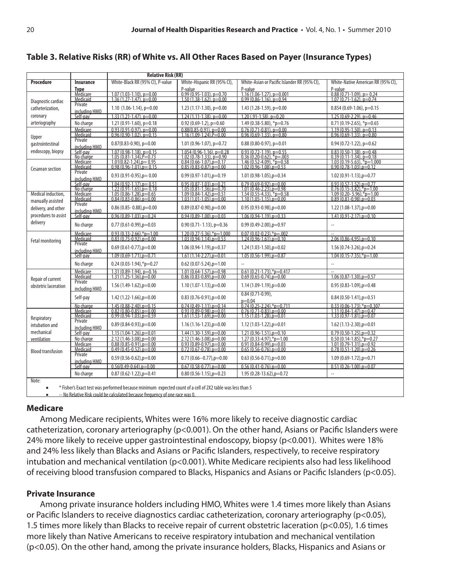| Table 3. Relative Risks (RR) of White vs. All Other Races Based on Payer (Insurance Types) |  |  |
|--------------------------------------------------------------------------------------------|--|--|
|--------------------------------------------------------------------------------------------|--|--|

| <b>Relative Risk (RR)</b>                                                                                 |                           |                                                                                                                 |                                                                  |                                                                 |                                                                               |  |  |  |
|-----------------------------------------------------------------------------------------------------------|---------------------------|-----------------------------------------------------------------------------------------------------------------|------------------------------------------------------------------|-----------------------------------------------------------------|-------------------------------------------------------------------------------|--|--|--|
| <b>Procedure</b>                                                                                          | <b>Insurance</b>          | White-Hispanic RR (95% CI),<br>White-Black RR (95% CI), P-value<br>White-Asian or Pacific Islander RR (95% CI), |                                                                  | White-Native American RR (95% CI),                              |                                                                               |  |  |  |
|                                                                                                           | <u>Tvpe</u>               |                                                                                                                 | P-value                                                          | P-value                                                         | P-value                                                                       |  |  |  |
|                                                                                                           | Medicare<br>Medicaid      | $1.07(1.03 - 1.10)$ , p=0.00<br>$\frac{1.36}{1.36}$ $\frac{(1.27-1.47)}{1.47}$ , $p=0.00$                       | $\frac{0.99(0.95-1.03)}{1.50(1.38-1.62)}$ , p=0.70               | $1.16(1.06-1.27)$ , p=0.001<br>$0.99(0.86 - 1.16)$ , $p = 0.94$ | $\frac{0.88(0.71-1.09)}{1.07(0.71-1.62)}$ , p=0.74                            |  |  |  |
| Diagnostic cardiac                                                                                        | Private                   |                                                                                                                 | 1.23 (1.17-1.30), p=0.00                                         | 1.43 (1.28-1.59), $p=0.00$                                      |                                                                               |  |  |  |
| catheterization,                                                                                          | including HMO             | 1.10 $(1.06-1.14)$ , p=0.00                                                                                     |                                                                  |                                                                 | $0.854(0.69-1.06)$ , p=0.15                                                   |  |  |  |
| coronary                                                                                                  | Self-pav                  | $1.33(1.21-1.47)$ , p=0.00                                                                                      | $1.24(1.11-1.38)$ , p=0.00                                       | $1.20$ (.91-1.58), $p=0.20$                                     | $1.25(0.69 - 2.29)$ , p=0.46                                                  |  |  |  |
| arteriography                                                                                             | No charge                 | $1.21(0.91-1.60)$ , p=0.18<br>$0.93(0.91-0.97), p=0.00$                                                         | $0.92(0.69-1.2)$ , p=0.60<br>$0.88(0.85-0.91)$ , p=0.00          | 1.49 (0.38-5.80), *p=0.76<br>$0.76(0.71-0.81)$ , p=0.00         | $0.71(0.19-2.65)$ , *p=0.65<br>$1.19(0.95 - 1.50)$ , p=0.13                   |  |  |  |
| Upper                                                                                                     | Medicare<br>Medicaid      | $0.96(0.90-1.02)$ , $p=0.15$                                                                                    | $1.16(1.09 - 1.24)$ . $P = 0.00$                                 | $0.96(0.69-1.33)$ , $p=0.80$                                    | $0.96(0.69-1.33)$ , $p=0.80$                                                  |  |  |  |
| qastrointestinal                                                                                          | Private<br>including HMO  | $0.87(0.83-0.90)$ , p=0.00                                                                                      | $1.01(0.96 - 1.07)$ , p=0.72                                     | $0.88(0.80-0.97)$ , p=0.01                                      | $0.94(0.72 - 1.22)$ , p=0.62                                                  |  |  |  |
| endoscopy, biopsy                                                                                         | Self-pav                  | $1.07(0.98 - 1.18)$ , p=0.15                                                                                    | $1.054(0.96-1.16)$ , p=0.28                                      | $0.93(0.72 - 1.19)$ , p=0.55                                    | $0.83(0.50-1.38)$ , p=0.48                                                    |  |  |  |
|                                                                                                           | No charge                 | $1.05(0.81 - 1.34)$ . $P = 0.73$                                                                                | $1.02(0.78-1.33)$ , p=0.90                                       | $0.36(0.20-0.62)$ , *p=.003                                     | $0.39(0.11 - 1.34)$ , $p=0.18$                                                |  |  |  |
| Cesarean section                                                                                          | Medicare<br>Medicaid      | $1.01(0.82 - 1.24)$ .p= 0.95<br>$0.98(0.96 - 1.01)$ . $p = 0.15$                                                | $0.84(0.66 - 1.07)$ .p=0.17<br>$0.85(0.83 - 0.87), p = 0.00$     | $1.46(0.52 - 4.09)$ , *p=0.58<br>$1.02(0.96 - 1.08)$ .p=0.53    | $1.03(0.19 - 5.63)$ . *p=1.000<br>$0.90(0.78 - 1.03)$ .p=0.12                 |  |  |  |
|                                                                                                           | Private<br>includina HMO  | $0.93(0.91-0.95)$ , p= 0.00                                                                                     | $0.99(0.97-1.01)$ , p=0.19                                       | $1.01(0.98-1.05)$ , p=0.34                                      | $1.02(0.91-1.13)$ , p=0.77                                                    |  |  |  |
|                                                                                                           | Self-pay                  | $1.04(0.92 - 1.17)$ , p = 0.51                                                                                  | $0.95(0.87 - 1.03)$ .p=0.21                                      | $0.79(0.69-0.92)$ .p=0.00                                       | $0.93(0.57 - 1.52)$ , p=0.77                                                  |  |  |  |
|                                                                                                           | No charge                 | $\frac{1.22(0.91-1.65)}{1.05(0.86-1.28)} = 0.18$                                                                | $\frac{1.05(0.81-1.36), p=0.70}{1.09(0.84-1.42), p=0.51}$        | $\frac{1.01(0.46-2.23), p=0.98}{1.54(0.55-4.33), p=0.58}$       | $\frac{0.76(0.15-3.82)^{20}-0.76(0.15-3.82)^{20}}{1.09(0.20-5.96)^{20}-1.00}$ |  |  |  |
| Medical induction,                                                                                        | Medicare<br>Medicaid      | $0.84(0.83 - 0.86)$ , $p = 0.00$                                                                                | $1.03(1.01-1.05)$ , $p=0.00$                                     | $1.10(1.05 - 1.15)$ , p=0.00                                    | $0.89(0.81 - 0.98)$ , p=0.03                                                  |  |  |  |
| manually assisted<br>delivery, and other                                                                  | Private                   | $0.86$ (0.85 - 0.88), $p=0.00$                                                                                  | $0.89(0.87-0.90)$ , p=0.00                                       | $0.95(0.93-0.98)$ , p=0.00                                      | $1.22(1.08-1.37)$ , p=0.00                                                    |  |  |  |
| procedures to assist                                                                                      | includina HMO<br>Self-pav | $0.96(0.89 - 1.03)$ , p=0.24                                                                                    | $0.94(0.89 - 1.00)$ .p=0.03                                      | $1.06(0.94-1.19)$ , $p=0.33$                                    | $1.41(0.91-2.17)$ .p=0.10                                                     |  |  |  |
| delivery                                                                                                  | No charge                 | $0.77(0.61-0.99)$ , p=0.03                                                                                      | $0.90$ (0.71-1.13), p=0.36                                       | $0.99(0.49 - 2.00)$ , p=0.97                                    |                                                                               |  |  |  |
|                                                                                                           | Medicare                  | $0.93(0.33-2.66)$ *p=1.00                                                                                       | $1.20(0.27 - 5.36)$ ,*p=1.000                                    | $0.07(0.02 - 0.23)$ ,*p=.002                                    |                                                                               |  |  |  |
| Fetal monitoring                                                                                          | Medicaid                  | $0.83(0.75-0.92)$ .p=0.00                                                                                       | $1.03(0.94 - 1.14)$ , $p = 0.53$                                 | $1.24(0.96 - 1.61)$ . $p = 0.10$                                | $2.06(0.86 - 4.95)$ .p=0.10                                                   |  |  |  |
|                                                                                                           | Private<br>including HMO  | $0.69(0.61-0.77)$ , p=0.00                                                                                      | $1.06(0.94-1.19)$ , p=0.37                                       | $1.24(1.03-1.50)$ , p=0.02                                      | $1.56(0.74-3.26)$ , p=0.24                                                    |  |  |  |
|                                                                                                           | Self-pav                  | $1.09(0.69-1.71)$ .p=0.71                                                                                       | $1.61(1.14-2.27)$ .p=0.01                                        | $1.05(0.56-1.99)$ .p=0.87                                       | $1.04(0.15 - 7.35)$ ,*p=1.00                                                  |  |  |  |
|                                                                                                           | No charge                 | $0.24(0.03-1.94)$ ,*p=0.27                                                                                      | $0.62(0.07 - 5.24)$ , p=1.00                                     |                                                                 |                                                                               |  |  |  |
|                                                                                                           | Medicare<br>Medicaid      | $1.31(0.89-1.94)$ , p=0.16<br>$1.31(1.25 - 1.36)$ . $p = 0.00$                                                  | $1.01(0.64 - 1.57)$ , p=0.98<br>$0.86(0.83 - 0.89)$ . $p = 0.00$ | $0.61(0.21-1.73)$ ,*p=0.417<br>$0.69(0.65 - 0.74)$ .p=0.00      | $1.06(0.87 - 1.30)$ .p=0.57                                                   |  |  |  |
| Repair of current<br>obstetric laceration                                                                 | Private                   | $1.56(1.49-1.62)$ , p=0.00                                                                                      | $1.10(1.07-1.13)$ , p=0.00                                       | $1.14(1.09-1.19)$ , p=0.00                                      | $0.95(0.83 - 1.09)$ , p=0.48                                                  |  |  |  |
|                                                                                                           | including HMO<br>Self-pay | $1.42(1.22 - 1.66)$ , p=0.00                                                                                    | $0.83(0.76-0.91)$ , p=0.00                                       | $0.84(0.71-0.99)$                                               | $0.84(0.50-1.41)$ , p=0.51                                                    |  |  |  |
|                                                                                                           |                           | $1.45(0.88 - 2.40)$ , $p = 0.15$                                                                                | $0.74(0.49-1.11)$ , p=0.14                                       | p=0.04<br>0.74 (0.25-2.24),*p=0.711                             | $0.33(0.06 - 1.73)^*$ p=0.307                                                 |  |  |  |
|                                                                                                           | No charge<br>Medicare     | $0.82(0.80-0.85)$ .p=0.00                                                                                       | $0.93(0.89 - 0.98)$ .p=0.01                                      | $0.76(0.71-0.83)$ .p=0.00                                       | $1.11(0.84 - 1.47)$ .p=0.47                                                   |  |  |  |
| Respiratory                                                                                               | Medicaid                  | $0.99(0.94-1.03)$ .p=0.59                                                                                       | $1.61(1.53 - 1.69)$ . $p = 0.00$                                 | $1.15(1.03 - 1.28)$ , $p = 0.01$                                | $1.33(0.97 - 1.81)$ .p=0.07                                                   |  |  |  |
| intubation and                                                                                            | Private<br>including HMO  | $0.89(0.84-0.93)$ , p=0.00                                                                                      | $1.16(1.16-1.23)$ , p=0.00                                       | $1.12(1.03-1.22)$ , p=0.01                                      | $1.62(1.13 - 2.30)$ , p=0.01                                                  |  |  |  |
| mechanical                                                                                                | Self-pav                  | $1.15(1.04-1.26)$ .p=0.01                                                                                       | $1.44(1.30-1.59)$ .p=0.00                                        | $1.21(0.96 - 1.51)$ .p=0.10                                     | $0.79(0.50-1.25)$ .p=0.32                                                     |  |  |  |
| ventilation                                                                                               | No charge                 | $2.12(1.46 - 3.08)$ , $p = 0.00$                                                                                | $2.12(1.46 - 3.08)$ , $p = 0.00$                                 | $1.27(0.33-4.97)$ , *p=1.00                                     | $0.50(0.14-1.85),\n* p=0.27$                                                  |  |  |  |
|                                                                                                           | Medicare<br>Medicaid      | $0.88(0.85 - 0.91)$ , p=0.00<br>$0.49(0.45-0.52)$ , $p=0.00$                                                    | $0.93(0.89 - 0.97)$ , $p = 0.00$<br>$0.72(0.67-0.78)$ .p=0.00    | $0.91(0.84 - 0.99)$ , $p = 0.03$<br>$0.65(0.56-0.76)$ .p=0.00   | $1.01(0.79-1.31)$ , p=0.92<br>$0.78(0.51-1.20)$ , $p=0.26$                    |  |  |  |
| <b>Blood transfusion</b>                                                                                  | Private                   | $0.59(0.56-0.62)$ , p=0.00                                                                                      | $0.71(0.66 - 0.77)$ , p=0.00                                     | $0.63(0.56-0.71)$ , p=0.00                                      | $1.09(0.69-1.72)$ , p=0.71                                                    |  |  |  |
|                                                                                                           | includina HMO<br>Self-pav | $0.56(0.49 - 0.64)$ , p=0.00                                                                                    | $0.67(0.58-0.77)$ , p=0.00                                       | $0.56(0.41-0.76)$ .p=0.00                                       | $0.51(0.26 - 1.00)$ .p=0.07                                                   |  |  |  |
|                                                                                                           | No charge                 | $0.87(0.62 - 1.22)$ , p=0.41                                                                                    | $0.80(0.56-1.15)$ , p=0.23                                       | $1.95(0.28-13.62)$ , p=0.72                                     | $\overline{a}$                                                                |  |  |  |
| Note:                                                                                                     |                           |                                                                                                                 |                                                                  |                                                                 |                                                                               |  |  |  |
| * Fisher's Exact test was performed because minimum expected count of a cell of 2X2 table was less than 5 |                           |                                                                                                                 |                                                                  |                                                                 |                                                                               |  |  |  |
| -- No Relative Risk could be calculated because frequency of one race was 0.                              |                           |                                                                                                                 |                                                                  |                                                                 |                                                                               |  |  |  |
|                                                                                                           |                           |                                                                                                                 |                                                                  |                                                                 |                                                                               |  |  |  |

### **Medicare**

Among Medicare recipients, Whites were 16% more likely to receive diagnostic cardiac catheterization, coronary arteriography (p<0.001). On the other hand, Asians or Pacific Islanders were 24% more likely to receive upper gastrointestinal endoscopy, biopsy (p<0.001). Whites were 18% and 24% less likely than Blacks and Asians or Pacific Islanders, respectively, to receive respiratory intubation and mechanical ventilation (p<0.001). White Medicare recipients also had less likelihood of receiving blood transfusion compared to Blacks, Hispanics and Asians or Pacific Islanders (p<0.05).

### **Private Insurance**

Among private insurance holders including HMO, Whites were 1.4 times more likely than Asians or Pacific Islanders to receive diagnostics cardiac catheterization, coronary arteriography (p<0.05), 1.5 times more likely than Blacks to receive repair of current obstetric laceration (p<0.05), 1.6 times more likely than Native Americans to receive respiratory intubation and mechanical ventilation (p<0.05). On the other hand, among the private insurance holders, Blacks, Hispanics and Asians or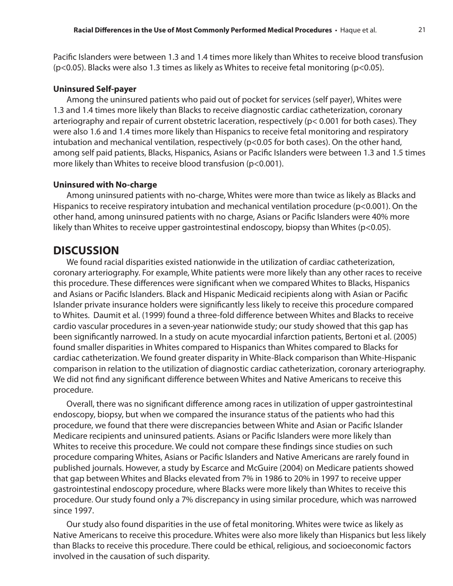Pacific Islanders were between 1.3 and 1.4 times more likely than Whites to receive blood transfusion  $(p<0.05)$ . Blacks were also 1.3 times as likely as Whites to receive fetal monitoring  $(p<0.05)$ .

#### **Uninsured Self-payer**

Among the uninsured patients who paid out of pocket for services (self payer), Whites were 1.3 and 1.4 times more likely than Blacks to receive diagnostic cardiac catheterization, coronary arteriography and repair of current obstetric laceration, respectively (p< 0.001 for both cases). They were also 1.6 and 1.4 times more likely than Hispanics to receive fetal monitoring and respiratory intubation and mechanical ventilation, respectively (p<0.05 for both cases). On the other hand, among self paid patients, Blacks, Hispanics, Asians or Pacific Islanders were between 1.3 and 1.5 times more likely than Whites to receive blood transfusion (p<0.001).

#### **Uninsured with No-charge**

Among uninsured patients with no-charge, Whites were more than twice as likely as Blacks and Hispanics to receive respiratory intubation and mechanical ventilation procedure (p<0.001). On the other hand, among uninsured patients with no charge, Asians or Pacific Islanders were 40% more likely than Whites to receive upper gastrointestinal endoscopy, biopsy than Whites (p<0.05).

### **DISCUSSION**

We found racial disparities existed nationwide in the utilization of cardiac catheterization, coronary arteriography. For example, White patients were more likely than any other races to receive this procedure. These differences were significant when we compared Whites to Blacks, Hispanics and Asians or Pacific Islanders. Black and Hispanic Medicaid recipients along with Asian or Pacific Islander private insurance holders were significantly less likely to receive this procedure compared to Whites. Daumit et al. (1999) found a three-fold difference between Whites and Blacks to receive cardio vascular procedures in a seven-year nationwide study; our study showed that this gap has been significantly narrowed. In a study on acute myocardial infarction patients, Bertoni et al. (2005) found smaller disparities in Whites compared to Hispanics than Whites compared to Blacks for cardiac catheterization. We found greater disparity in White-Black comparison than White-Hispanic comparison in relation to the utilization of diagnostic cardiac catheterization, coronary arteriography. We did not find any significant difference between Whites and Native Americans to receive this procedure.

Overall, there was no significant difference among races in utilization of upper gastrointestinal endoscopy, biopsy, but when we compared the insurance status of the patients who had this procedure, we found that there were discrepancies between White and Asian or Pacific Islander Medicare recipients and uninsured patients. Asians or Pacific Islanders were more likely than Whites to receive this procedure. We could not compare these findings since studies on such procedure comparing Whites, Asians or Pacific Islanders and Native Americans are rarely found in published journals. However, a study by Escarce and McGuire (2004) on Medicare patients showed that gap between Whites and Blacks elevated from 7% in 1986 to 20% in 1997 to receive upper gastrointestinal endoscopy procedure, where Blacks were more likely than Whites to receive this procedure. Our study found only a 7% discrepancy in using similar procedure, which was narrowed since 1997.

Our study also found disparities in the use of fetal monitoring. Whites were twice as likely as Native Americans to receive this procedure. Whites were also more likely than Hispanics but less likely than Blacks to receive this procedure. There could be ethical, religious, and socioeconomic factors involved in the causation of such disparity.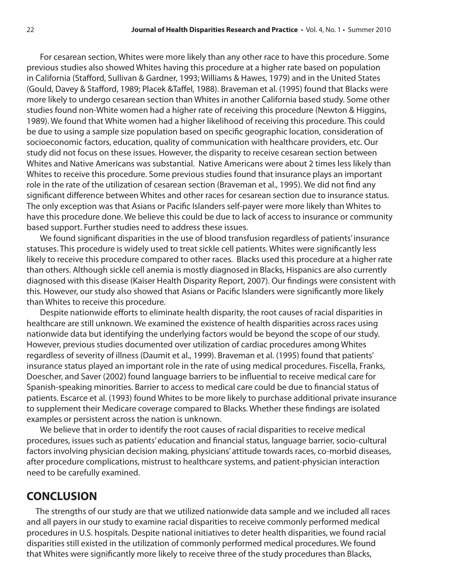For cesarean section, Whites were more likely than any other race to have this procedure. Some previous studies also showed Whites having this procedure at a higher rate based on population in California (Stafford, Sullivan & Gardner, 1993; Williams & Hawes, 1979) and in the United States (Gould, Davey & Stafford, 1989; Placek &Taffel, 1988). Braveman et al. (1995) found that Blacks were more likely to undergo cesarean section than Whites in another California based study. Some other studies found non-White women had a higher rate of receiving this procedure (Newton & Higgins, 1989). We found that White women had a higher likelihood of receiving this procedure. This could be due to using a sample size population based on specific geographic location, consideration of socioeconomic factors, education, quality of communication with healthcare providers, etc. Our study did not focus on these issues. However, the disparity to receive cesarean section between Whites and Native Americans was substantial. Native Americans were about 2 times less likely than Whites to receive this procedure. Some previous studies found that insurance plays an important role in the rate of the utilization of cesarean section (Braveman et al., 1995). We did not find any significant difference between Whites and other races for cesarean section due to insurance status. The only exception was that Asians or Pacific Islanders self-payer were more likely than Whites to have this procedure done. We believe this could be due to lack of access to insurance or community based support. Further studies need to address these issues.

We found significant disparities in the use of blood transfusion regardless of patients' insurance statuses. This procedure is widely used to treat sickle cell patients. Whites were significantly less likely to receive this procedure compared to other races. Blacks used this procedure at a higher rate than others. Although sickle cell anemia is mostly diagnosed in Blacks, Hispanics are also currently diagnosed with this disease (Kaiser Health Disparity Report, 2007). Our findings were consistent with this. However, our study also showed that Asians or Pacific Islanders were significantly more likely than Whites to receive this procedure.

Despite nationwide efforts to eliminate health disparity, the root causes of racial disparities in healthcare are still unknown. We examined the existence of health disparities across races using nationwide data but identifying the underlying factors would be beyond the scope of our study. However, previous studies documented over utilization of cardiac procedures among Whites regardless of severity of illness (Daumit et al., 1999). Braveman et al. (1995) found that patients' insurance status played an important role in the rate of using medical procedures. Fiscella, Franks, Doescher, and Saver (2002) found language barriers to be influential to receive medical care for Spanish-speaking minorities. Barrier to access to medical care could be due to financial status of patients. Escarce et al. (1993) found Whites to be more likely to purchase additional private insurance to supplement their Medicare coverage compared to Blacks. Whether these findings are isolated examples or persistent across the nation is unknown.

We believe that in order to identify the root causes of racial disparities to receive medical procedures, issues such as patients' education and financial status, language barrier, socio-cultural factors involving physician decision making, physicians' attitude towards races, co-morbid diseases, after procedure complications, mistrust to healthcare systems, and patient-physician interaction need to be carefully examined.

## **CONCLUSION**

 The strengths of our study are that we utilized nationwide data sample and we included all races and all payers in our study to examine racial disparities to receive commonly performed medical procedures in U.S. hospitals. Despite national initiatives to deter health disparities, we found racial disparities still existed in the utilization of commonly performed medical procedures. We found that Whites were significantly more likely to receive three of the study procedures than Blacks,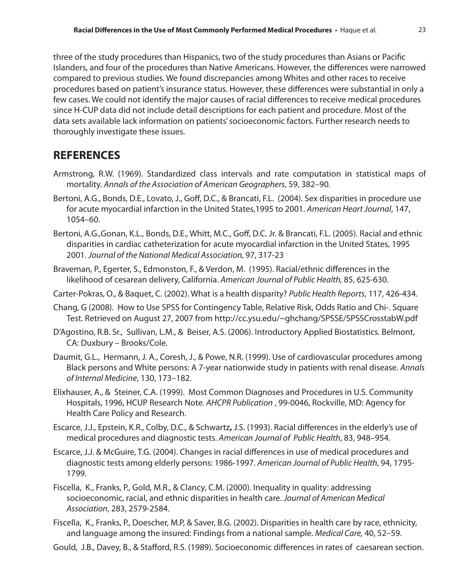three of the study procedures than Hispanics, two of the study procedures than Asians or Pacific Islanders, and four of the procedures than Native Americans. However, the differences were narrowed compared to previous studies. We found discrepancies among Whites and other races to receive procedures based on patient's insurance status. However, these differences were substantial in only a few cases. We could not identify the major causes of racial differences to receive medical procedures since H-CUP data did not include detail descriptions for each patient and procedure. Most of the data sets available lack information on patients' socioeconomic factors. Further research needs to thoroughly investigate these issues.

## **REFERENCES**

- Armstrong, R.W. (1969). Standardized class intervals and rate computation in statistical maps of mortality. *Annals of the Association of American Geographers*, 59, 382–90.
- Bertoni, A.G., Bonds, D.E., Lovato, J., Goff, D.C., & Brancati, F.L. (2004). Sex disparities in procedure use for acute myocardial infarction in the United States,1995 to 2001. *American Heart Journal*, 147, 1054–60.
- Bertoni, A.G.,Gonan, K.L., Bonds, D.E., Whitt, M.C., Goff, D.C. Jr. & Brancati, F.L. (2005). Racial and ethnic disparities in cardiac catheterization for acute myocardial infarction in the United States, 1995 2001. *Journal of the National Medical Association,* 97, 317-23
- Braveman, P., Egerter, S., Edmonston, F., & Verdon, M. (1995). Racial/ethnic differences in the likelihood of cesarean delivery, California. *American Journal of Public Health,* 85, 625-630.
- Carter-Pokras, O., & Baquet, C. (2002). What is a health disparity? *Public Health Reports*, 117, 426-434.
- Chang, G (2008). How to Use SPSS for Contingency Table, Relative Risk, Odds Ratio and Chi-. Square Test. Retrieved on August 27, 2007 from http://cc.ysu.edu/~ghchang/SPSSE/SPSSCrosstabW.pdf
- D'Agostino, R.B. Sr., Sullivan, L.M., & Beiser, A.S. (2006). Introductory Applied Biostatistics. Belmont, CA: Duxbury – Brooks/Cole.
- Daumit, G.L., Hermann, J. A., Coresh, J., & Powe, N.R. (1999). Use of cardiovascular procedures among Black persons and White persons: A 7-year nationwide study in patients with renal disease. *Annals of Internal Medicine*, 130, 173–182.
- Elixhauser, A., & Steiner, C.A. (1999). Most Common Diagnoses and Procedures in U.S. Community Hospitals, 1996, HCUP Research Note. *AHCPR Publication* , 99-0046, Rockville, MD: Agency for Health Care Policy and Research.
- Escarce, J.J., Epstein, K.R., Colby, D.C., & Schwartz**,** J.S. (1993). Racial differences in the elderly's use of medical procedures and diagnostic tests. *American Journal of Public Health*, 83, 948–954.
- Escarce, J.J. & McGuire, T.G. (2004). Changes in racial differences in use of medical procedures and diagnostic tests among elderly persons: 1986-1997. *American Journal of Public Health,* 94, 1795- 1799.
- Fiscella, K., Franks, P., Gold, M.R., & Clancy, C.M. (2000). Inequality in quality: addressing socioeconomic, racial, and ethnic disparities in health care. *Journal of American Medical Association*, 283, 2579-2584.
- Fiscella, K., Franks, P., Doescher, M.P, & Saver, B.G. (2002). Disparities in health care by race, ethnicity, and language among the insured: Findings from a national sample. *Medical Care,* 40, 52–59.

Gould, J.B., Davey, B., & Stafford, R.S. (1989). Socioeconomic differences in rates of caesarean section.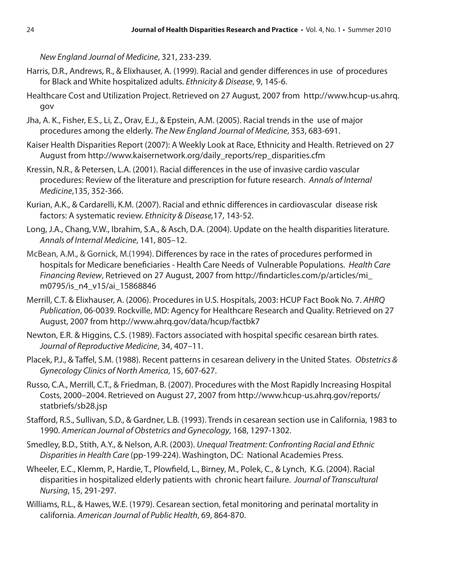*New England Journal of Medicine*, 321, 233-239.

- Harris, D.R., Andrews, R., & Elixhauser, A. (1999). Racial and gender differences in use of procedures for Black and White hospitalized adults. *Ethnicity & Disease*, 9, 145-6.
- Healthcare Cost and Utilization Project. Retrieved on 27 August, 2007 from http://www.hcup-us.ahrq. gov
- Jha, A. K., Fisher, E.S., Li, Z., Orav, E.J., & Epstein, A.M. (2005). Racial trends in the use of major procedures among the elderly. *The New England Journal of Medicine*, 353, 683-691.
- Kaiser Health Disparities Report (2007): A Weekly Look at Race, Ethnicity and Health. Retrieved on 27 August from http://www.kaisernetwork.org/daily\_reports/rep\_disparities.cfm
- Kressin, N.R., & Petersen, L.A. (2001). Racial differences in the use of invasive cardio vascular procedures: Review of the literature and prescription for future research. *Annals of Internal Medicine*,135, 352-366.
- Kurian, A.K., & Cardarelli, K.M. (2007). Racial and ethnic differences in cardiovascular disease risk factors: A systematic review. *Ethnicity & Disease,*17, 143-52.
- Long, J.A., Chang, V.W., Ibrahim, S.A., & Asch, D.A. (2004). Update on the health disparities literature. *Annals of Internal Medicine*, 141, 805–12.
- McBean, A.M., & Gornick, M.(1994). Differences by race in the rates of procedures performed in hospitals for Medicare beneficiaries - Health Care Needs of Vulnerable Populations. *Health Care Financing Review*, Retrieved on 27 August, 2007 from http://findarticles.com/p/articles/mi\_ m0795/is\_n4\_v15/ai\_15868846
- Merrill, C.T. & Elixhauser, A. (2006). Procedures in U.S. Hospitals, 2003: HCUP Fact Book No. 7. *AHRQ Publication*, 06-0039. Rockville, MD: Agency for Healthcare Research and Quality. Retrieved on 27 August, 2007 from http://www.ahrq.gov/data/hcup/factbk7
- Newton, E.R. & Higgins, C.S. (1989). Factors associated with hospital specific cesarean birth rates. *Journal of Reproductive Medicine*, 34, 407–11.
- Placek, P.J., & Taffel, S.M. (1988). Recent patterns in cesarean delivery in the United States. *Obstetrics & Gynecology Clinics of North America*, 15, 607-627.
- Russo, C.A., Merrill, C.T., & Friedman, B. (2007). Procedures with the Most Rapidly Increasing Hospital Costs, 2000–2004. Retrieved on August 27, 2007 from http://www.hcup-us.ahrq.gov/reports/ statbriefs/sb28.jsp
- Stafford, R.S., Sullivan, S.D., & Gardner, L.B. (1993). Trends in cesarean section use in California, 1983 to 1990. *American Journal of Obstetrics and Gynecology*, 168, 1297-1302.
- Smedley, B.D., Stith, A.Y., & Nelson, A.R. (2003). *Unequal Treatment: Confronting Racial and Ethnic Disparities in Health Care* (pp-199-224). Washington, DC: National Academies Press.
- Wheeler, E.C., Klemm, P., Hardie, T., Plowfield, L., Birney, M., Polek, C., & Lynch, K.G. (2004). Racial disparities in hospitalized elderly patients with chronic heart failure. *Journal of Transcultural Nursing*, 15, 291-297.
- Williams, R.L., & Hawes, W.E. (1979). Cesarean section, fetal monitoring and perinatal mortality in california. *American Journal of Public Health*, 69, 864-870.